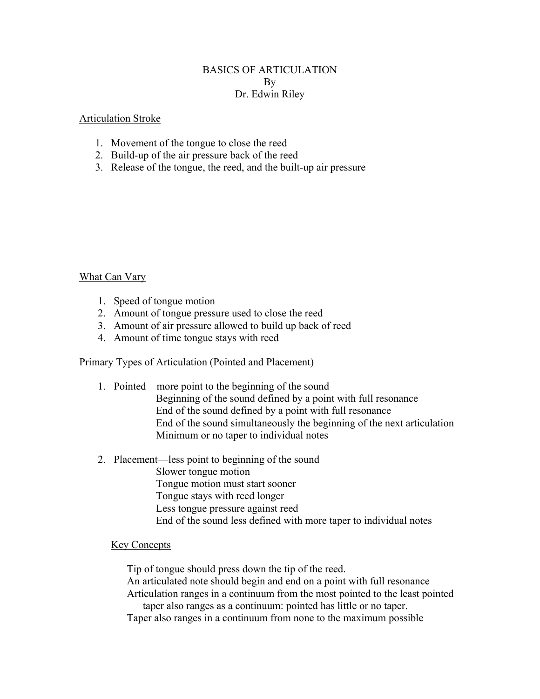#### BASICS OF ARTICULATION By Dr. Edwin Riley

#### Articulation Stroke

- 1. Movement of the tongue to close the reed
- 2. Build-up of the air pressure back of the reed
- 3. Release of the tongue, the reed, and the built-up air pressure

What Can Vary

- 1. Speed of tongue motion
- 2. Amount of tongue pressure used to close the reed
- 3. Amount of air pressure allowed to build up back of reed
- 4. Amount of time tongue stays with reed

Primary Types of Articulation (Pointed and Placement)

1. Pointed—more point to the beginning of the sound

 Beginning of the sound defined by a point with full resonance End of the sound defined by a point with full resonance End of the sound simultaneously the beginning of the next articulation Minimum or no taper to individual notes

2. Placement—less point to beginning of the sound

 Slower tongue motion Tongue motion must start sooner Tongue stays with reed longer Less tongue pressure against reed End of the sound less defined with more taper to individual notes

### Key Concepts

Tip of tongue should press down the tip of the reed.

An articulated note should begin and end on a point with full resonance Articulation ranges in a continuum from the most pointed to the least pointed

taper also ranges as a continuum: pointed has little or no taper. Taper also ranges in a continuum from none to the maximum possible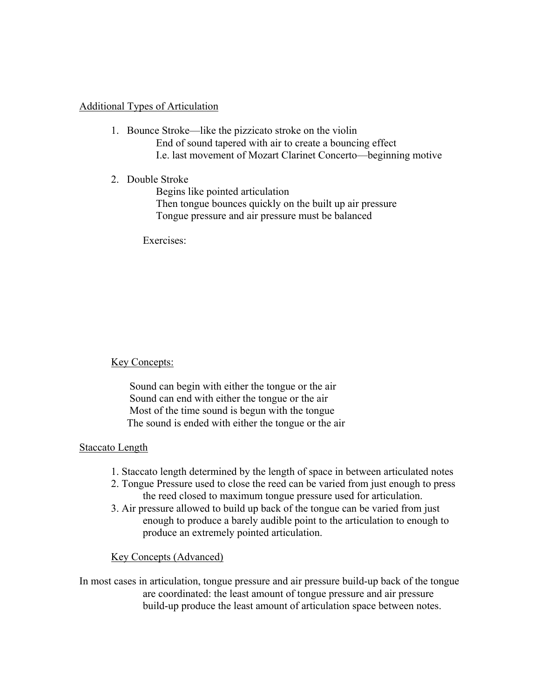## Additional Types of Articulation

- 1. Bounce Stroke—like the pizzicato stroke on the violin End of sound tapered with air to create a bouncing effect I.e. last movement of Mozart Clarinet Concerto—beginning motive
- 2. Double Stroke

 Begins like pointed articulation Then tongue bounces quickly on the built up air pressure Tongue pressure and air pressure must be balanced

Exercises:

Key Concepts:

 Sound can begin with either the tongue or the air Sound can end with either the tongue or the air Most of the time sound is begun with the tongue The sound is ended with either the tongue or the air

# Staccato Length

- 1. Staccato length determined by the length of space in between articulated notes
- 2. Tongue Pressure used to close the reed can be varied from just enough to press the reed closed to maximum tongue pressure used for articulation.
- 3. Air pressure allowed to build up back of the tongue can be varied from just enough to produce a barely audible point to the articulation to enough to produce an extremely pointed articulation.

# Key Concepts (Advanced)

In most cases in articulation, tongue pressure and air pressure build-up back of the tongue are coordinated: the least amount of tongue pressure and air pressure build-up produce the least amount of articulation space between notes.